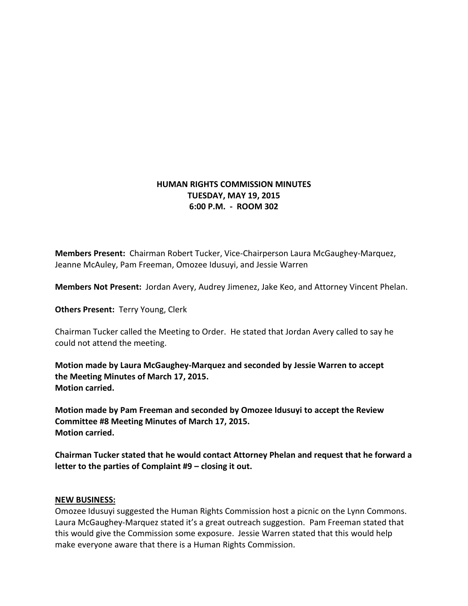## **HUMAN RIGHTS COMMISSION MINUTES TUESDAY, MAY 19, 2015 6:00 P.M. - ROOM 302**

**Members Present:** Chairman Robert Tucker, Vice-Chairperson Laura McGaughey-Marquez, Jeanne McAuley, Pam Freeman, Omozee Idusuyi, and Jessie Warren

**Members Not Present:** Jordan Avery, Audrey Jimenez, Jake Keo, and Attorney Vincent Phelan.

**Others Present:** Terry Young, Clerk

Chairman Tucker called the Meeting to Order. He stated that Jordan Avery called to say he could not attend the meeting.

**Motion made by Laura McGaughey-Marquez and seconded by Jessie Warren to accept the Meeting Minutes of March 17, 2015. Motion carried.**

**Motion made by Pam Freeman and seconded by Omozee Idusuyi to accept the Review Committee #8 Meeting Minutes of March 17, 2015. Motion carried.**

**Chairman Tucker stated that he would contact Attorney Phelan and request that he forward a letter to the parties of Complaint #9 – closing it out.** 

## **NEW BUSINESS:**

Omozee Idusuyi suggested the Human Rights Commission host a picnic on the Lynn Commons. Laura McGaughey-Marquez stated it's a great outreach suggestion. Pam Freeman stated that this would give the Commission some exposure. Jessie Warren stated that this would help make everyone aware that there is a Human Rights Commission.